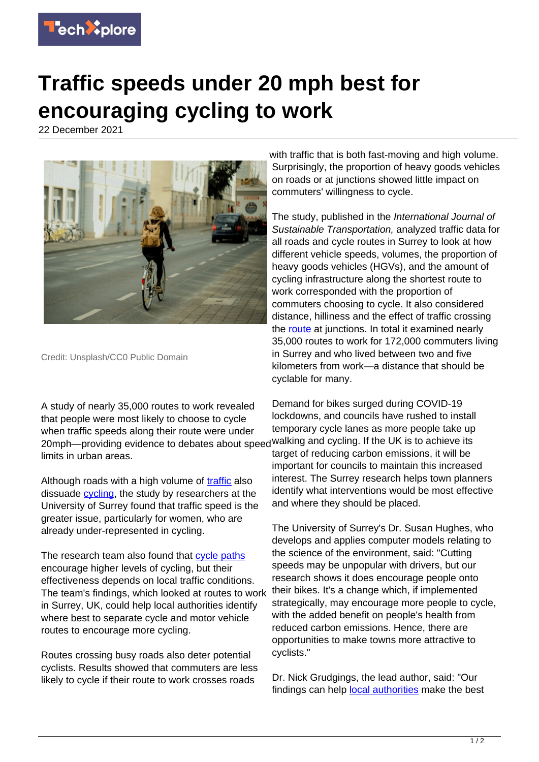

## **Traffic speeds under 20 mph best for encouraging cycling to work**

22 December 2021



Credit: Unsplash/CC0 Public Domain

A study of nearly 35,000 routes to work revealed that people were most likely to choose to cycle when traffic speeds along their route were under 20mph—providing evidence to debates about speed walking and cycling. If the UK is to achieve its limits in urban areas.

Although roads with a high volume of [traffic](https://techxplore.com/tags/traffic/) also dissuade [cycling](https://techxplore.com/tags/cycling/), the study by researchers at the University of Surrey found that traffic speed is the greater issue, particularly for women, who are already under-represented in cycling.

The research team also found that [cycle paths](https://techxplore.com/tags/cycle+paths/) encourage higher levels of cycling, but their effectiveness depends on local traffic conditions. The team's findings, which looked at routes to work in Surrey, UK, could help local authorities identify where best to separate cycle and motor vehicle routes to encourage more cycling.

Routes crossing busy roads also deter potential cyclists. Results showed that commuters are less likely to cycle if their route to work crosses roads

with traffic that is both fast-moving and high volume. Surprisingly, the proportion of heavy goods vehicles on roads or at junctions showed little impact on commuters' willingness to cycle.

The study, published in the International Journal of Sustainable Transportation, analyzed traffic data for all roads and cycle routes in Surrey to look at how different vehicle speeds, volumes, the proportion of heavy goods vehicles (HGVs), and the amount of cycling infrastructure along the shortest route to work corresponded with the proportion of commuters choosing to cycle. It also considered distance, hilliness and the effect of traffic crossing the [route](https://techxplore.com/tags/route/) at junctions. In total it examined nearly 35,000 routes to work for 172,000 commuters living in Surrey and who lived between two and five kilometers from work—a distance that should be cyclable for many.

Demand for bikes surged during COVID-19 lockdowns, and councils have rushed to install temporary cycle lanes as more people take up target of reducing carbon emissions, it will be important for councils to maintain this increased interest. The Surrey research helps town planners identify what interventions would be most effective and where they should be placed.

The University of Surrey's Dr. Susan Hughes, who develops and applies computer models relating to the science of the environment, said: "Cutting speeds may be unpopular with drivers, but our research shows it does encourage people onto their bikes. It's a change which, if implemented strategically, may encourage more people to cycle, with the added benefit on people's health from reduced carbon emissions. Hence, there are opportunities to make towns more attractive to cyclists."

Dr. Nick Grudgings, the lead author, said: "Our findings can help [local authorities](https://techxplore.com/tags/local+authorities/) make the best